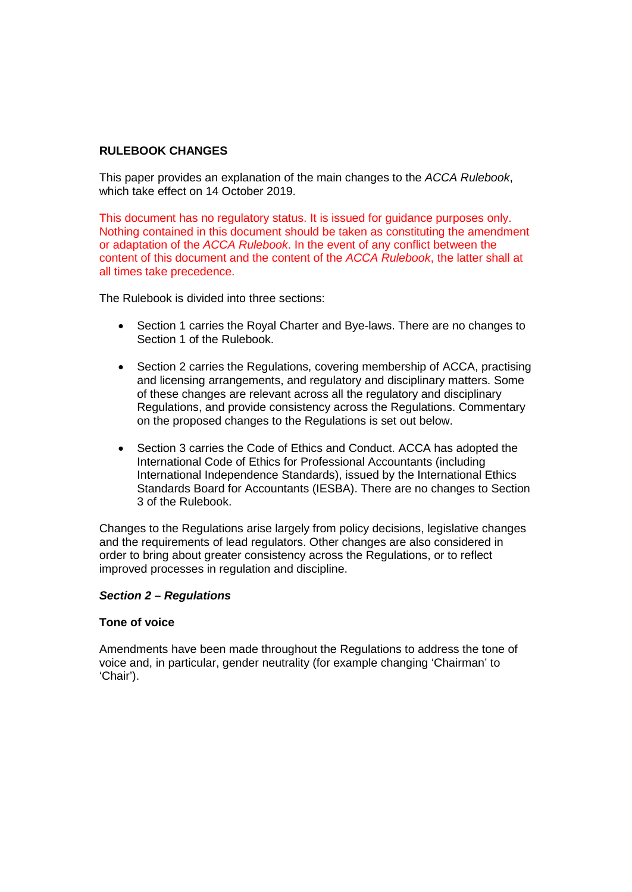# **RULEBOOK CHANGES**

This paper provides an explanation of the main changes to the *ACCA Rulebook*, which take effect on 14 October 2019.

This document has no regulatory status. It is issued for guidance purposes only. Nothing contained in this document should be taken as constituting the amendment or adaptation of the *ACCA Rulebook*. In the event of any conflict between the content of this document and the content of the *ACCA Rulebook*, the latter shall at all times take precedence.

The Rulebook is divided into three sections:

- Section 1 carries the Royal Charter and Bye-laws. There are no changes to Section 1 of the Rulebook.
- Section 2 carries the Regulations, covering membership of ACCA, practising and licensing arrangements, and regulatory and disciplinary matters. Some of these changes are relevant across all the regulatory and disciplinary Regulations, and provide consistency across the Regulations. Commentary on the proposed changes to the Regulations is set out below.
- Section 3 carries the Code of Ethics and Conduct. ACCA has adopted the International Code of Ethics for Professional Accountants (including International Independence Standards), issued by the International Ethics Standards Board for Accountants (IESBA). There are no changes to Section 3 of the Rulebook.

Changes to the Regulations arise largely from policy decisions, legislative changes and the requirements of lead regulators. Other changes are also considered in order to bring about greater consistency across the Regulations, or to reflect improved processes in regulation and discipline.

#### *Section 2 – Regulations*

#### **Tone of voice**

Amendments have been made throughout the Regulations to address the tone of voice and, in particular, gender neutrality (for example changing 'Chairman' to 'Chair').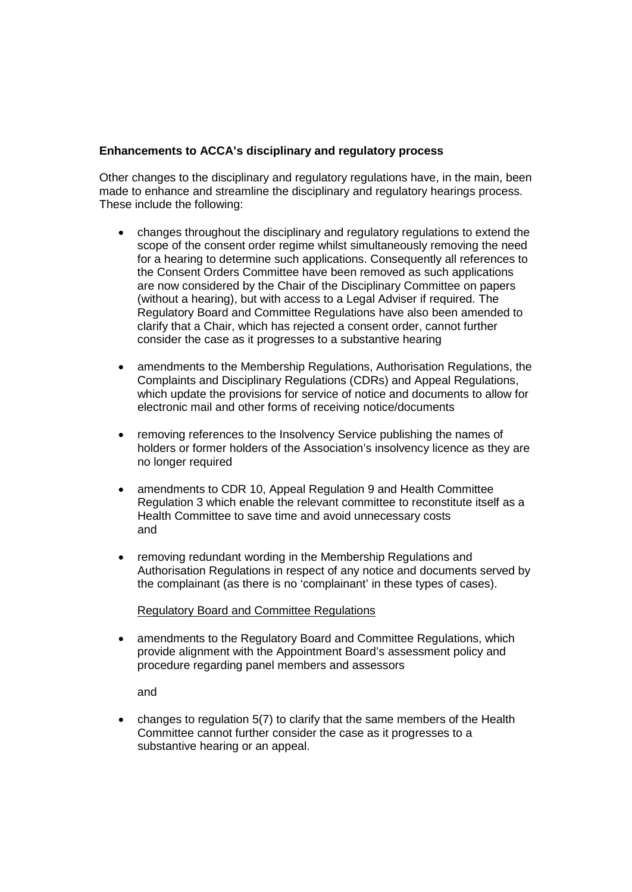### **Enhancements to ACCA's disciplinary and regulatory process**

Other changes to the disciplinary and regulatory regulations have, in the main, been made to enhance and streamline the disciplinary and regulatory hearings process. These include the following:

- changes throughout the disciplinary and regulatory regulations to extend the scope of the consent order regime whilst simultaneously removing the need for a hearing to determine such applications. Consequently all references to the Consent Orders Committee have been removed as such applications are now considered by the Chair of the Disciplinary Committee on papers (without a hearing), but with access to a Legal Adviser if required. The Regulatory Board and Committee Regulations have also been amended to clarify that a Chair, which has rejected a consent order, cannot further consider the case as it progresses to a substantive hearing
- amendments to the Membership Regulations, Authorisation Regulations, the Complaints and Disciplinary Regulations (CDRs) and Appeal Regulations, which update the provisions for service of notice and documents to allow for electronic mail and other forms of receiving notice/documents
- removing references to the Insolvency Service publishing the names of holders or former holders of the Association's insolvency licence as they are no longer required
- amendments to CDR 10, Appeal Regulation 9 and Health Committee Regulation 3 which enable the relevant committee to reconstitute itself as a Health Committee to save time and avoid unnecessary costs and
- removing redundant wording in the Membership Regulations and Authorisation Regulations in respect of any notice and documents served by the complainant (as there is no 'complainant' in these types of cases).

Regulatory Board and Committee Regulations

• amendments to the Regulatory Board and Committee Regulations, which provide alignment with the Appointment Board's assessment policy and procedure regarding panel members and assessors

and

• changes to regulation 5(7) to clarify that the same members of the Health Committee cannot further consider the case as it progresses to a substantive hearing or an appeal.